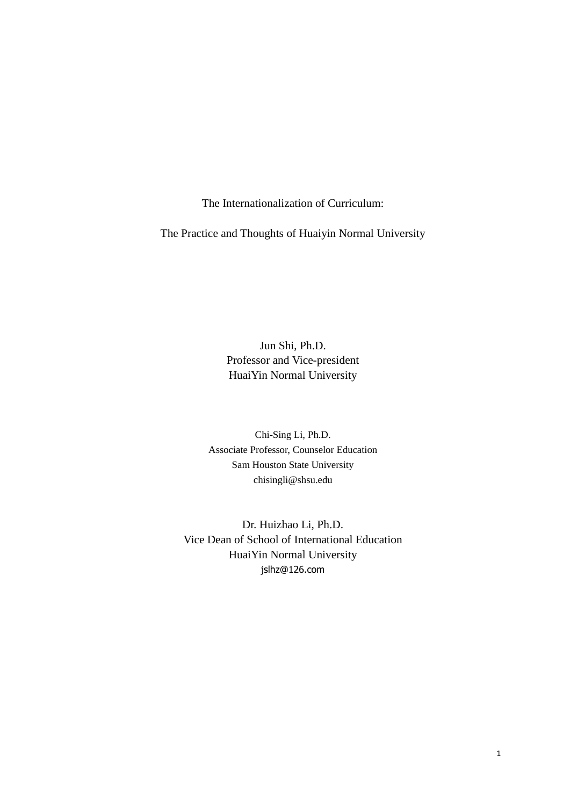The Internationalization of Curriculum:

The Practice and Thoughts of Huaiyin Normal University

Jun Shi, Ph.D. Professor and Vice-president HuaiYin Normal University

Chi-Sing Li, Ph.D. Associate Professor, Counselor Education Sam Houston State University chisingli@shsu.edu

Dr. Huizhao Li, Ph.D. Vice Dean of School of International Education HuaiYin Normal University jslhz@126.com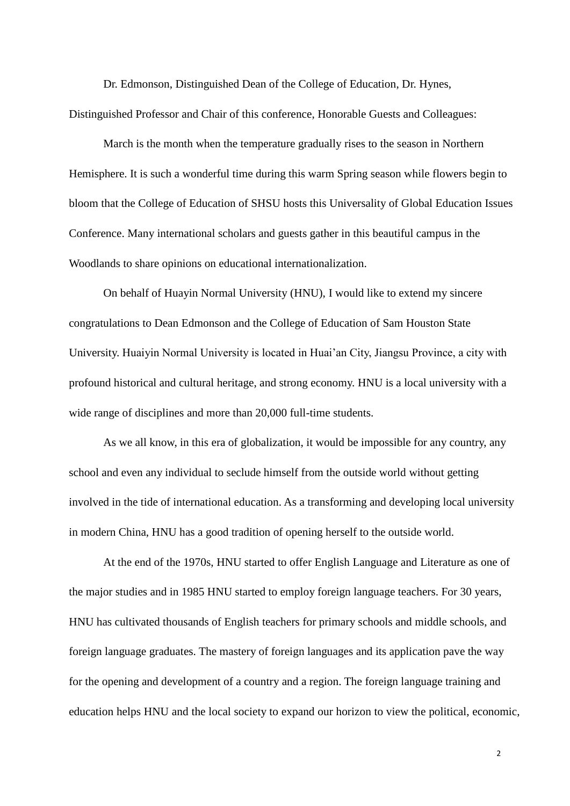Dr. Edmonson, Distinguished Dean of the College of Education, Dr. Hynes, Distinguished Professor and Chair of this conference, Honorable Guests and Colleagues:

March is the month when the temperature gradually rises to the season in Northern Hemisphere. It is such a wonderful time during this warm Spring season while flowers begin to bloom that the College of Education of SHSU hosts this Universality of Global Education Issues Conference. Many international scholars and guests gather in this beautiful campus in the Woodlands to share opinions on educational internationalization.

On behalf of Huayin Normal University (HNU), I would like to extend my sincere congratulations to Dean Edmonson and the College of Education of Sam Houston State University. Huaiyin Normal University is located in Huai'an City, Jiangsu Province, a city with profound historical and cultural heritage, and strong economy. HNU is a local university with a wide range of disciplines and more than 20,000 full-time students.

As we all know, in this era of globalization, it would be impossible for any country, any school and even any individual to seclude himself from the outside world without getting involved in the tide of international education. As a transforming and developing local university in modern China, HNU has a good tradition of opening herself to the outside world.

At the end of the 1970s, HNU started to offer English Language and Literature as one of the major studies and in 1985 HNU started to employ foreign language teachers. For 30 years, HNU has cultivated thousands of English teachers for primary schools and middle schools, and foreign language graduates. The mastery of foreign languages and its application pave the way for the opening and development of a country and a region. The foreign language training and education helps HNU and the local society to expand our horizon to view the political, economic,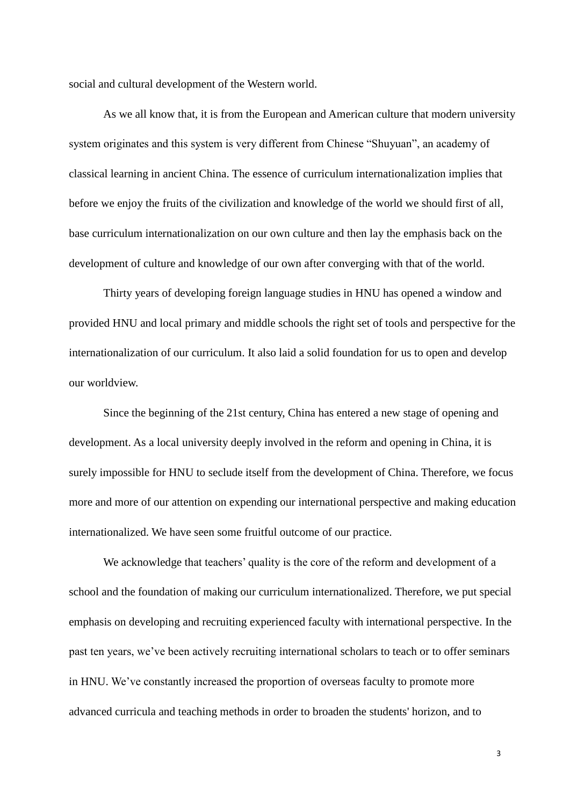social and cultural development of the Western world.

As we all know that, it is from the European and American culture that modern university system originates and this system is very different from Chinese "Shuyuan", an academy of classical learning in ancient China. The essence of curriculum internationalization implies that before we enjoy the fruits of the civilization and knowledge of the world we should first of all, base curriculum internationalization on our own culture and then lay the emphasis back on the development of culture and knowledge of our own after converging with that of the world.

Thirty years of developing foreign language studies in HNU has opened a window and provided HNU and local primary and middle schools the right set of tools and perspective for the internationalization of our curriculum. It also laid a solid foundation for us to open and develop our worldview.

Since the beginning of the 21st century, China has entered a new stage of opening and development. As a local university deeply involved in the reform and opening in China, it is surely impossible for HNU to seclude itself from the development of China. Therefore, we focus more and more of our attention on expending our international perspective and making education internationalized. We have seen some fruitful outcome of our practice.

We acknowledge that teachers' quality is the core of the reform and development of a school and the foundation of making our curriculum internationalized. Therefore, we put special emphasis on developing and recruiting experienced faculty with international perspective. In the past ten years, we've been actively recruiting international scholars to teach or to offer seminars in HNU. We've constantly increased the proportion of overseas faculty to promote more advanced curricula and teaching methods in order to broaden the students' horizon, and to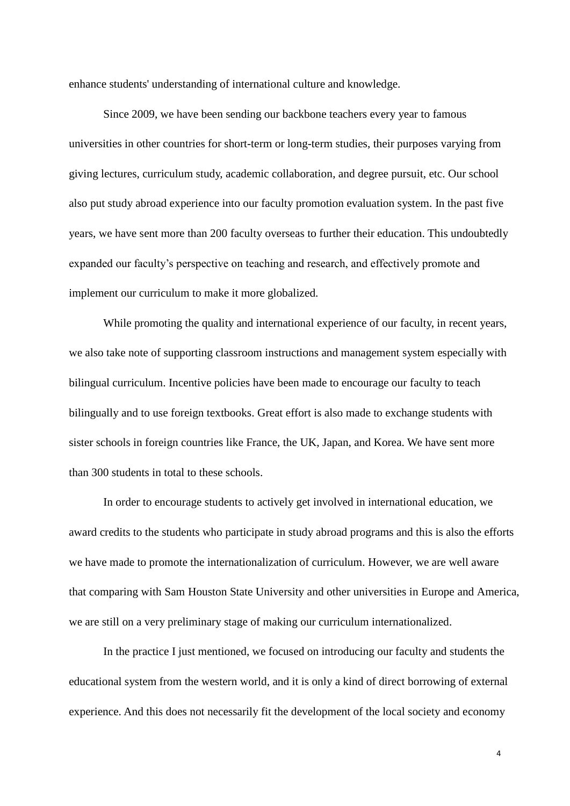enhance students' understanding of international culture and knowledge.

Since 2009, we have been sending our backbone teachers every year to famous universities in other countries for short-term or long-term studies, their purposes varying from giving lectures, curriculum study, academic collaboration, and degree pursuit, etc. Our school also put study abroad experience into our faculty promotion evaluation system. In the past five years, we have sent more than 200 faculty overseas to further their education. This undoubtedly expanded our faculty's perspective on teaching and research, and effectively promote and implement our curriculum to make it more globalized.

While promoting the quality and international experience of our faculty, in recent years, we also take note of supporting classroom instructions and management system especially with bilingual curriculum. Incentive policies have been made to encourage our faculty to teach bilingually and to use foreign textbooks. Great effort is also made to exchange students with sister schools in foreign countries like France, the UK, Japan, and Korea. We have sent more than 300 students in total to these schools.

In order to encourage students to actively get involved in international education, we award credits to the students who participate in study abroad programs and this is also the efforts we have made to promote the internationalization of curriculum. However, we are well aware that comparing with Sam Houston State University and other universities in Europe and America, we are still on a very preliminary stage of making our curriculum internationalized.

In the practice I just mentioned, we focused on introducing our faculty and students the educational system from the western world, and it is only a kind of direct borrowing of external experience. And this does not necessarily fit the development of the local society and economy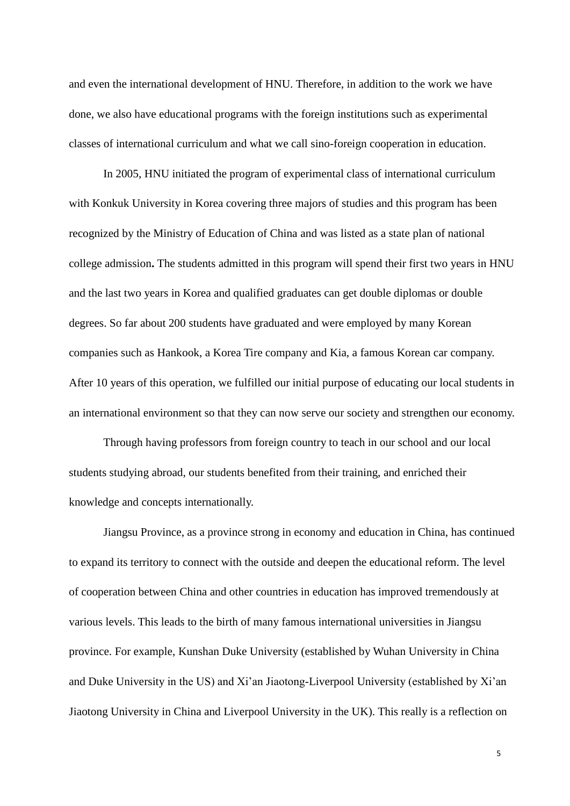and even the international development of HNU. Therefore, in addition to the work we have done, we also have educational programs with the foreign institutions such as experimental classes of international curriculum and what we call sino-foreign cooperation in education.

In 2005, HNU initiated the program of experimental class of international curriculum with Konkuk University in Korea covering three majors of studies and this program has been recognized by the Ministry of Education of China and was listed as a state plan of national college admission**.** The students admitted in this program will spend their first two years in HNU and the last two years in Korea and qualified graduates can get double diplomas or double degrees. So far about 200 students have graduated and were employed by many Korean companies such as Hankook, a Korea Tire company and Kia, a famous Korean car company. After 10 years of this operation, we fulfilled our initial purpose of educating our local students in an international environment so that they can now serve our society and strengthen our economy.

Through having professors from foreign country to teach in our school and our local students studying abroad, our students benefited from their training, and enriched their knowledge and concepts internationally.

Jiangsu Province, as a province strong in economy and education in China, has continued to expand its territory to connect with the outside and deepen the educational reform. The level of cooperation between China and other countries in education has improved tremendously at various levels. This leads to the birth of many famous international universities in Jiangsu province. For example, Kunshan Duke University (established by Wuhan University in China and Duke University in the US) and Xi'an Jiaotong-Liverpool University (established by Xi'an Jiaotong University in China and Liverpool University in the UK). This really is a reflection on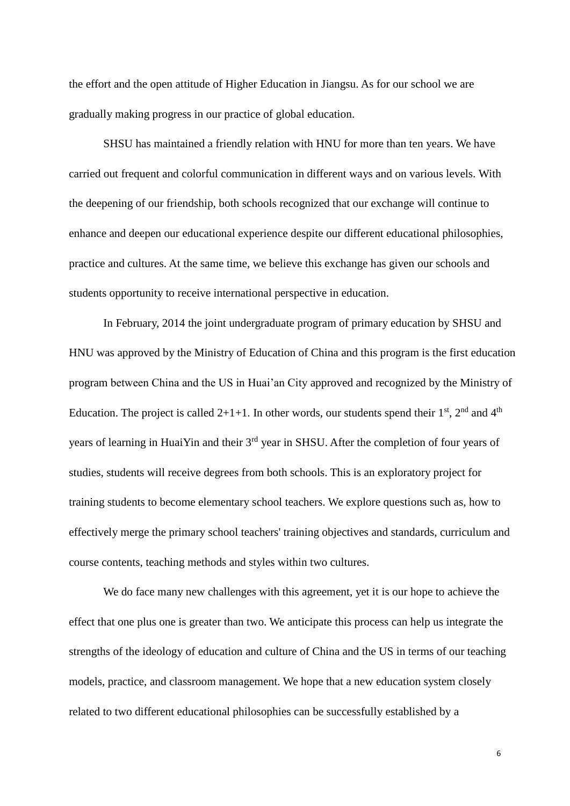the effort and the open attitude of Higher Education in Jiangsu. As for our school we are gradually making progress in our practice of global education.

SHSU has maintained a friendly relation with HNU for more than ten years. We have carried out frequent and colorful communication in different ways and on various levels. With the deepening of our friendship, both schools recognized that our exchange will continue to enhance and deepen our educational experience despite our different educational philosophies, practice and cultures. At the same time, we believe this exchange has given our schools and students opportunity to receive international perspective in education.

In February, 2014 the joint undergraduate program of primary education by SHSU and HNU was approved by the Ministry of Education of China and this program is the first education program between China and the US in Huai'an City approved and recognized by the Ministry of Education. The project is called  $2+1+1$ . In other words, our students spend their  $1<sup>st</sup>$ ,  $2<sup>nd</sup>$  and  $4<sup>th</sup>$ years of learning in HuaiYin and their 3<sup>rd</sup> year in SHSU. After the completion of four years of studies, students will receive degrees from both schools. This is an exploratory project for training students to become elementary school teachers. We explore questions such as, how to effectively merge the primary school teachers' training objectives and standards, curriculum and course contents, teaching methods and styles within two cultures.

We do face many new challenges with this agreement, yet it is our hope to achieve the effect that one plus one is greater than two. We anticipate this process can help us integrate the strengths of the ideology of education and culture of China and the US in terms of our teaching models, practice, and classroom management. We hope that a new education system closely related to two different educational philosophies can be successfully established by a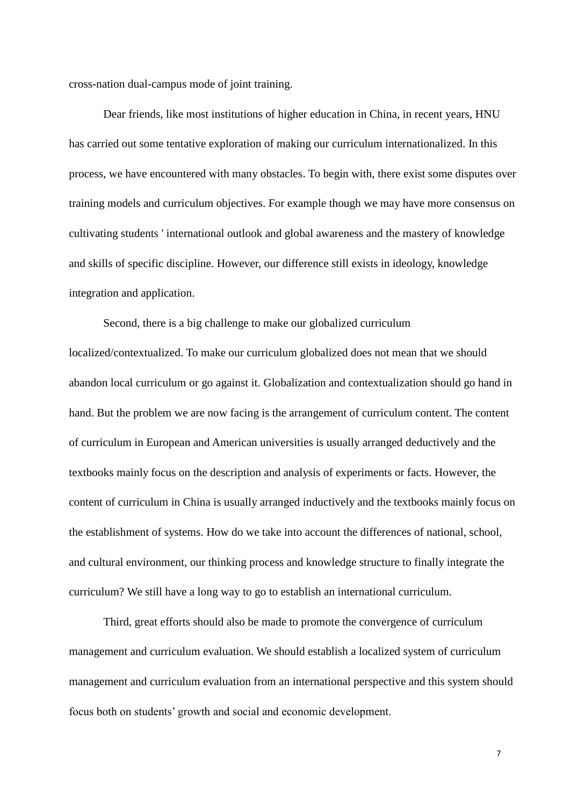cross-nation dual-campus mode of joint training.

Dear friends, like most institutions of higher education in China, in recent years, HNU has carried out some tentative exploration of making our curriculum internationalized. In this process, we have encountered with many obstacles. To begin with, there exist some disputes over training models and curriculum objectives. For example though we may have more consensus on cultivating students ' international outlook and global awareness and the mastery of knowledge and skills of specific discipline. However, our difference still exists in ideology, knowledge integration and application.

Second, there is a big challenge to make our globalized curriculum localized/contextualized. To make our curriculum globalized does not mean that we should abandon local curriculum or go against it. Globalization and contextualization should go hand in hand. But the problem we are now facing is the arrangement of curriculum content. The content of curriculum in European and American universities is usually arranged deductively and the textbooks mainly focus on the description and analysis of experiments or facts. However, the content of curriculum in China is usually arranged inductively and the textbooks mainly focus on the establishment of systems. How do we take into account the differences of national, school, and cultural environment, our thinking process and knowledge structure to finally integrate the curriculum? We still have a long way to go to establish an international curriculum.

Third, great efforts should also be made to promote the convergence of curriculum management and curriculum evaluation. We should establish a localized system of curriculum management and curriculum evaluation from an international perspective and this system should focus both on students' growth and social and economic development.

7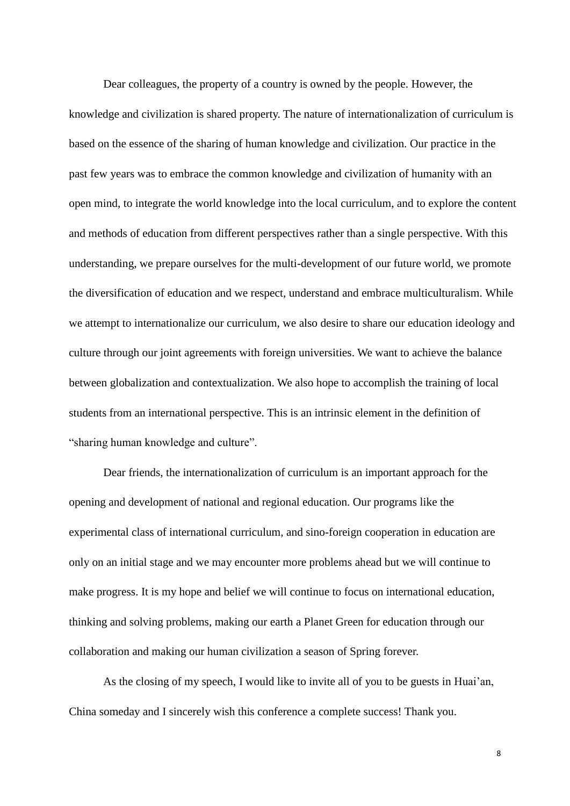Dear colleagues, the property of a country is owned by the people. However, the knowledge and civilization is shared property. The nature of internationalization of curriculum is based on the essence of the sharing of human knowledge and civilization. Our practice in the past few years was to embrace the common knowledge and civilization of humanity with an open mind, to integrate the world knowledge into the local curriculum, and to explore the content and methods of education from different perspectives rather than a single perspective. With this understanding, we prepare ourselves for the multi-development of our future world, we promote the diversification of education and we respect, understand and embrace multiculturalism. While we attempt to internationalize our curriculum, we also desire to share our education ideology and culture through our joint agreements with foreign universities. We want to achieve the balance between globalization and contextualization. We also hope to accomplish the training of local students from an international perspective. This is an intrinsic element in the definition of "sharing human knowledge and culture".

Dear friends, the internationalization of curriculum is an important approach for the opening and development of national and regional education. Our programs like the experimental class of international curriculum, and sino-foreign cooperation in education are only on an initial stage and we may encounter more problems ahead but we will continue to make progress. It is my hope and belief we will continue to focus on international education, thinking and solving problems, making our earth a Planet Green for education through our collaboration and making our human civilization a season of Spring forever.

As the closing of my speech, I would like to invite all of you to be guests in Huai'an, China someday and I sincerely wish this conference a complete success! Thank you.

8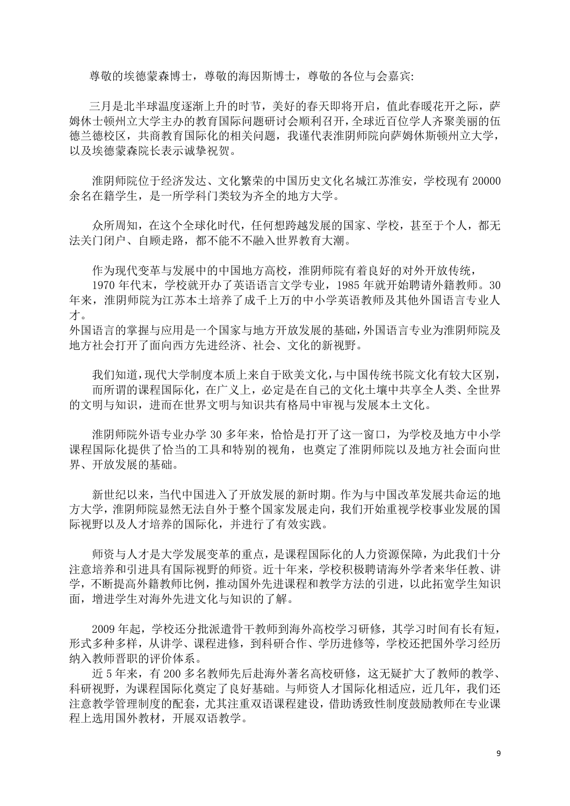尊敬的埃德蒙森博士,尊敬的海因斯博士,尊敬的各位与会嘉宾:

三月是北半球温度逐渐上升的时节,美好的春天即将开启,值此春暖花开之际,萨 姆休士顿州立大学主办的教育国际问题研讨会顺利召开,全球近百位学人齐聚美丽的伍 德兰德校区,共商教育国际化的相关问题,我谨代表淮阴师院向萨姆休斯顿州立大学, 以及埃德蒙森院长表示诚挚祝贺。

淮阴师院位于经济发达、文化繁荣的中国历史文化名城江苏淮安,学校现有 20000 余名在籍学生,是一所学科门类较为齐全的地方大学。

众所周知,在这个全球化时代,任何想跨越发展的国家、学校,甚至于个人,都无 法关门闭户、自顾走路,都不能不不融入世界教育大潮。

作为现代变革与发展中的中国地方高校,淮阴师院有着良好的对外开放传统,

1970 年代末,学校就开办了英语语言文学专业,1985 年就开始聘请外籍教师。30 年来,淮阴师院为江苏本土培养了成千上万的中小学英语教师及其他外国语言专业人 才。

外国语言的掌握与应用是一个国家与地方开放发展的基础,外国语言专业为淮阴师院及 地方社会打开了面向西方先进经济、社会、文化的新视野。

我们知道,现代大学制度本质上来自于欧美文化,与中国传统书院文化有较大区别, 而所谓的课程国际化,在广义上,必定是在自己的文化土壤中共享全人类、全世界 的文明与知识,进而在世界文明与知识共有格局中审视与发展本土文化。

淮阴师院外语专业办学 30 多年来,恰恰是打开了这一窗口,为学校及地方中小学 课程国际化提供了恰当的工具和特别的视角,也奠定了淮阴师院以及地方社会面向世 界、开放发展的基础。

新世纪以来,当代中国进入了开放发展的新时期。作为与中国改革发展共命运的地 方大学,淮阴师院显然无法自外于整个国家发展走向,我们开始重视学校事业发展的国 际视野以及人才培养的国际化,并进行了有效实践。

师资与人才是大学发展变革的重点,是课程国际化的人力资源保障,为此我们十分 注意培养和引进具有国际视野的师资。近十年来,学校积极聘请海外学者来华任教、讲 学,不断提高外籍教师比例,推动国外先进课程和教学方法的引进,以此拓宽学生知识 面,增进学生对海外先进文化与知识的了解。

2009 年起,学校还分批派遣骨干教师到海外高校学习研修,其学习时间有长有短, 形式多种多样,从讲学、课程进修,到科研合作、学历进修等,学校还把国外学习经历 纳入教师晋职的评价体系。

近 5 年来,有 200 多名教师先后赴海外著名高校研修,这无疑扩大了教师的教学、 科研视野,为课程国际化奠定了良好基础。与师资人才国际化相适应,近几年,我们还 注意教学管理制度的配套,尤其注重双语课程建设,借助诱致性制度鼓励教师在专业课 程上选用国外教材,开展双语教学。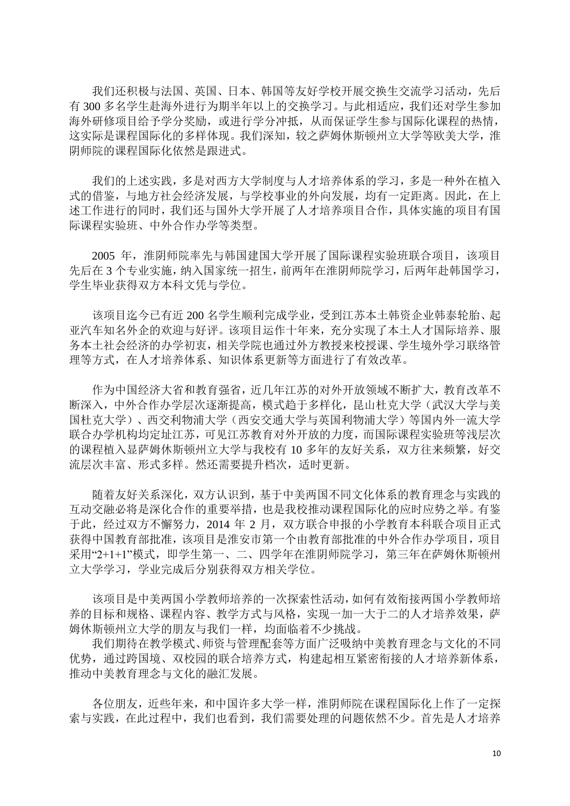我们还积极与法国、英国、日本、韩国等友好学校开展交换生交流学习活动,先后 有 300 多名学生赴海外进行为期半年以上的交换学习。与此相适应,我们还对学生参加 海外研修项目给予学分奖励,或进行学分冲抵,从而保证学生参与国际化课程的热情, 这实际是课程国际化的多样体现。我们深知,较之萨姆休斯顿州立大学等欧美大学,淮 阴师院的课程国际化依然是跟进式。

我们的上述实践,多是对西方大学制度与人才培养体系的学习,多是一种外在植入 式的借鉴,与地方社会经济发展,与学校事业的外向发展,均有一定距离。因此,在上 述工作进行的同时,我们还与国外大学开展了人才培养项目合作,具体实施的项目有国 际课程实验班、中外合作办学等类型。

2005 年,淮阴师院率先与韩国建国大学开展了国际课程实验班联合项目,该项目 先后在 3 个专业实施,纳入国家统一招生,前两年在淮阴师院学习,后两年赴韩国学习, 学生毕业获得双方本科文凭与学位。

该项目迄今已有近 200 名学生顺利完成学业,受到江苏本土韩资企业韩泰轮胎、起 亚汽车知名外企的欢迎与好评。该项目运作十年来,充分实现了本土人才国际培养、服 务本土社会经济的办学初衷,相关学院也通过外方教授来校授课、学生境外学习联络管 理等方式,在人才培养体系、知识体系更新等方面进行了有效改革。

作为中国经济大省和教育强省,近几年江苏的对外开放领域不断扩大,教育改革不 断深入,中外合作办学层次逐渐提高,模式趋于多样化,昆山杜克大学(武汉大学与美 国杜克大学)、西交利物浦大学(西安交通大学与英国利物浦大学)等国内外一流大学 联合办学机构均定址江苏,可见江苏教育对外开放的力度,而国际课程实验班等浅层次 的课程植入显萨姆休斯顿州立大学与我校有10多年的友好关系, 双方往来频繁, 好交 流层次丰富、形式多样。然还需要提升档次,适时更新。

随着友好关系深化,双方认识到,基于中美两国不同文化体系的教育理念与实践的 互动交融必将是深化合作的重要举措,也是我校推动课程国际化的应时应势之举。有鉴 于此,经过双方不懈努力,2014 年 2 月,双方联合申报的小学教育本科联合项目正式 获得中国教育部批准,该项目是淮安市第一个由教育部批准的中外合作办学项目,项目 采用"2+1+1"模式,即学生第一、二、四学年在淮阴师院学习,第三年在萨姆休斯顿州 立大学学习,学业完成后分别获得双方相关学位。

该项目是中美两国小学教师培养的一次探索性活动,如何有效衔接两国小学教师培 养的目标和规格、课程内容、教学方式与风格,实现一加一大于二的人才培养效果,萨 姆休斯顿州立大学的朋友与我们一样,均面临着不少挑战。

我们期待在教学模式、师资与管理配套等方面广泛吸纳中美教育理念与文化的不同 优势,通过跨国境、双校园的联合培养方式,构建起相互紧密衔接的人才培养新体系, 推动中美教育理念与文化的融汇发展。

各位朋友,近些年来,和中国许多大学一样,淮阴师院在课程国际化上作了一定探 索与实践,在此过程中,我们也看到,我们需要处理的问题依然不少。首先是人才培养